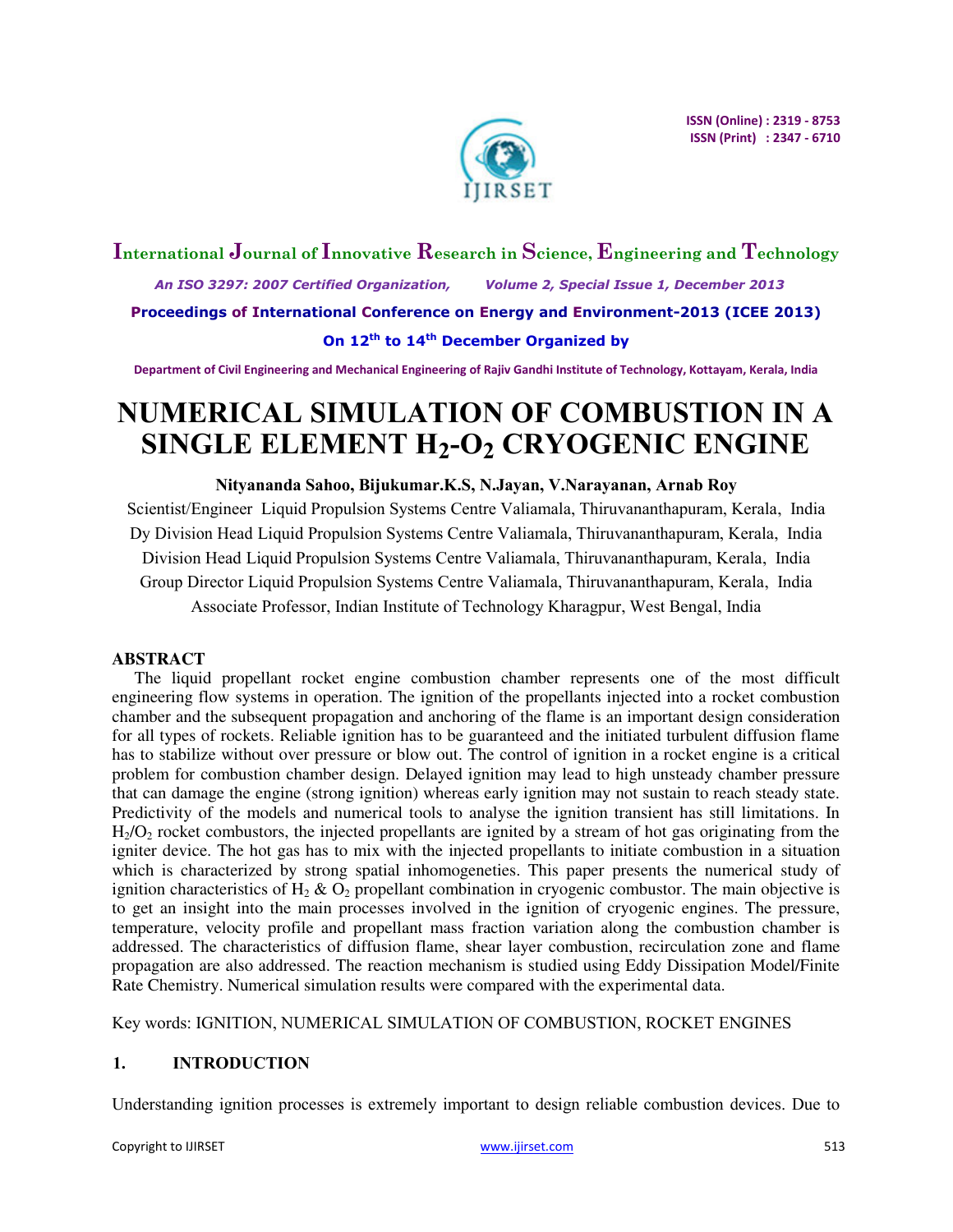

# **International Journal of Innovative Research in Science, Engineering and Technology**  *An ISO 3297: 2007 Certified Organization, Volume 2, Special Issue 1, December 2013*  **Proceedings of International Conference on Energy and Environment-2013 (ICEE 2013) On 12th to 14th December Organized by**

**Department of Civil Engineering and Mechanical Engineering of Rajiv Gandhi Institute of Technology, Kottayam, Kerala, India** 

# **NUMERICAL SIMULATION OF COMBUSTION IN A SINGLE ELEMENT H2-O2 CRYOGENIC ENGINE**

## **Nityananda Sahoo, Bijukumar.K.S, N.Jayan, V.Narayanan, Arnab Roy**

Scientist/Engineer Liquid Propulsion Systems Centre Valiamala, Thiruvananthapuram, Kerala, India Dy Division Head Liquid Propulsion Systems Centre Valiamala, Thiruvananthapuram, Kerala, India Division Head Liquid Propulsion Systems Centre Valiamala, Thiruvananthapuram, Kerala, India Group Director Liquid Propulsion Systems Centre Valiamala, Thiruvananthapuram, Kerala, India Associate Professor, Indian Institute of Technology Kharagpur, West Bengal, India

# **ABSTRACT**

The liquid propellant rocket engine combustion chamber represents one of the most difficult engineering flow systems in operation. The ignition of the propellants injected into a rocket combustion chamber and the subsequent propagation and anchoring of the flame is an important design consideration for all types of rockets. Reliable ignition has to be guaranteed and the initiated turbulent diffusion flame has to stabilize without over pressure or blow out. The control of ignition in a rocket engine is a critical problem for combustion chamber design. Delayed ignition may lead to high unsteady chamber pressure that can damage the engine (strong ignition) whereas early ignition may not sustain to reach steady state. Predictivity of the models and numerical tools to analyse the ignition transient has still limitations. In  $H<sub>2</sub>/O<sub>2</sub>$  rocket combustors, the injected propellants are ignited by a stream of hot gas originating from the igniter device. The hot gas has to mix with the injected propellants to initiate combustion in a situation which is characterized by strong spatial inhomogeneties. This paper presents the numerical study of ignition characteristics of  $H_2 \& O_2$  propellant combination in cryogenic combustor. The main objective is to get an insight into the main processes involved in the ignition of cryogenic engines. The pressure, temperature, velocity profile and propellant mass fraction variation along the combustion chamber is addressed. The characteristics of diffusion flame, shear layer combustion, recirculation zone and flame propagation are also addressed. The reaction mechanism is studied using Eddy Dissipation Model/Finite Rate Chemistry. Numerical simulation results were compared with the experimental data.

Key words: IGNITION, NUMERICAL SIMULATION OF COMBUSTION, ROCKET ENGINES

# **1. INTRODUCTION**

Understanding ignition processes is extremely important to design reliable combustion devices. Due to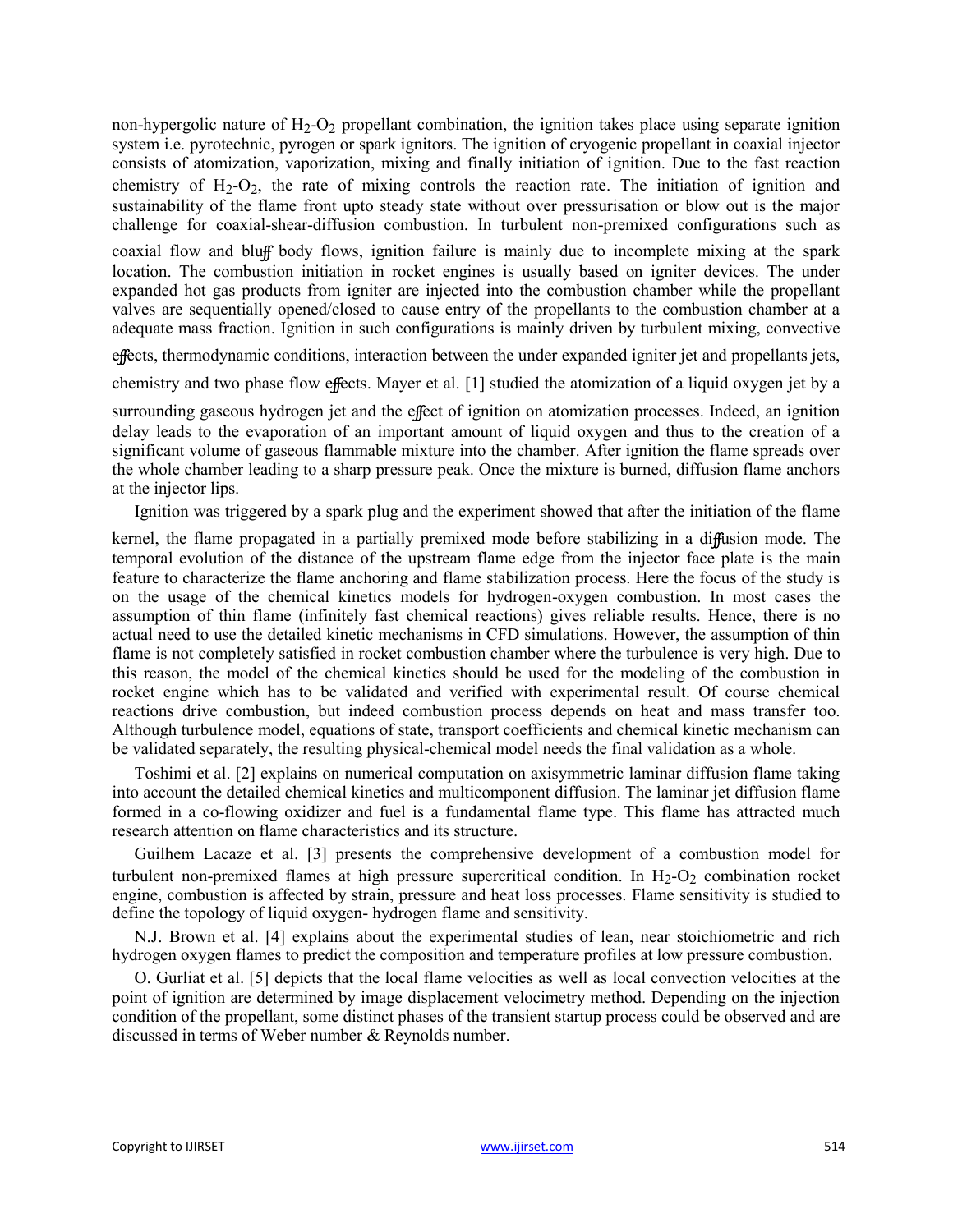non-hypergolic nature of  $H_2-O_2$  propellant combination, the ignition takes place using separate ignition system i.e. pyrotechnic, pyrogen or spark ignitors. The ignition of cryogenic propellant in coaxial injector consists of atomization, vaporization, mixing and finally initiation of ignition. Due to the fast reaction chemistry of  $H_2-O_2$ , the rate of mixing controls the reaction rate. The initiation of ignition and sustainability of the flame front upto steady state without over pressurisation or blow out is the major challenge for coaxial-shear-diffusion combustion. In turbulent non-premixed configurations such as

coaxial flow and bluff body flows, ignition failure is mainly due to incomplete mixing at the spark location. The combustion initiation in rocket engines is usually based on igniter devices. The under expanded hot gas products from igniter are injected into the combustion chamber while the propellant valves are sequentially opened/closed to cause entry of the propellants to the combustion chamber at a adequate mass fraction. Ignition in such configurations is mainly driven by turbulent mixing, convective

effects, thermodynamic conditions, interaction between the under expanded igniter jet and propellants jets,

chemistry and two phase flow effects. Mayer et al. [1] studied the atomization of a liquid oxygen jet by a

surrounding gaseous hydrogen jet and the effect of ignition on atomization processes. Indeed, an ignition delay leads to the evaporation of an important amount of liquid oxygen and thus to the creation of a significant volume of gaseous flammable mixture into the chamber. After ignition the flame spreads over the whole chamber leading to a sharp pressure peak. Once the mixture is burned, diffusion flame anchors at the injector lips.

Ignition was triggered by a spark plug and the experiment showed that after the initiation of the flame

kernel, the flame propagated in a partially premixed mode before stabilizing in a diffusion mode. The temporal evolution of the distance of the upstream flame edge from the injector face plate is the main feature to characterize the flame anchoring and flame stabilization process. Here the focus of the study is on the usage of the chemical kinetics models for hydrogen-oxygen combustion. In most cases the assumption of thin flame (infinitely fast chemical reactions) gives reliable results. Hence, there is no actual need to use the detailed kinetic mechanisms in CFD simulations. However, the assumption of thin flame is not completely satisfied in rocket combustion chamber where the turbulence is very high. Due to this reason, the model of the chemical kinetics should be used for the modeling of the combustion in rocket engine which has to be validated and verified with experimental result. Of course chemical reactions drive combustion, but indeed combustion process depends on heat and mass transfer too. Although turbulence model, equations of state, transport coefficients and chemical kinetic mechanism can be validated separately, the resulting physical-chemical model needs the final validation as a whole.

Toshimi et al. [2] explains on numerical computation on axisymmetric laminar diffusion flame taking into account the detailed chemical kinetics and multicomponent diffusion. The laminar jet diffusion flame formed in a co-flowing oxidizer and fuel is a fundamental flame type. This flame has attracted much research attention on flame characteristics and its structure.

Guilhem Lacaze et al. [3] presents the comprehensive development of a combustion model for turbulent non-premixed flames at high pressure supercritical condition. In  $H_2-O_2$  combination rocket engine, combustion is affected by strain, pressure and heat loss processes. Flame sensitivity is studied to define the topology of liquid oxygen- hydrogen flame and sensitivity.

N.J. Brown et al. [4] explains about the experimental studies of lean, near stoichiometric and rich hydrogen oxygen flames to predict the composition and temperature profiles at low pressure combustion.

O. Gurliat et al. [5] depicts that the local flame velocities as well as local convection velocities at the point of ignition are determined by image displacement velocimetry method. Depending on the injection condition of the propellant, some distinct phases of the transient startup process could be observed and are discussed in terms of Weber number & Reynolds number.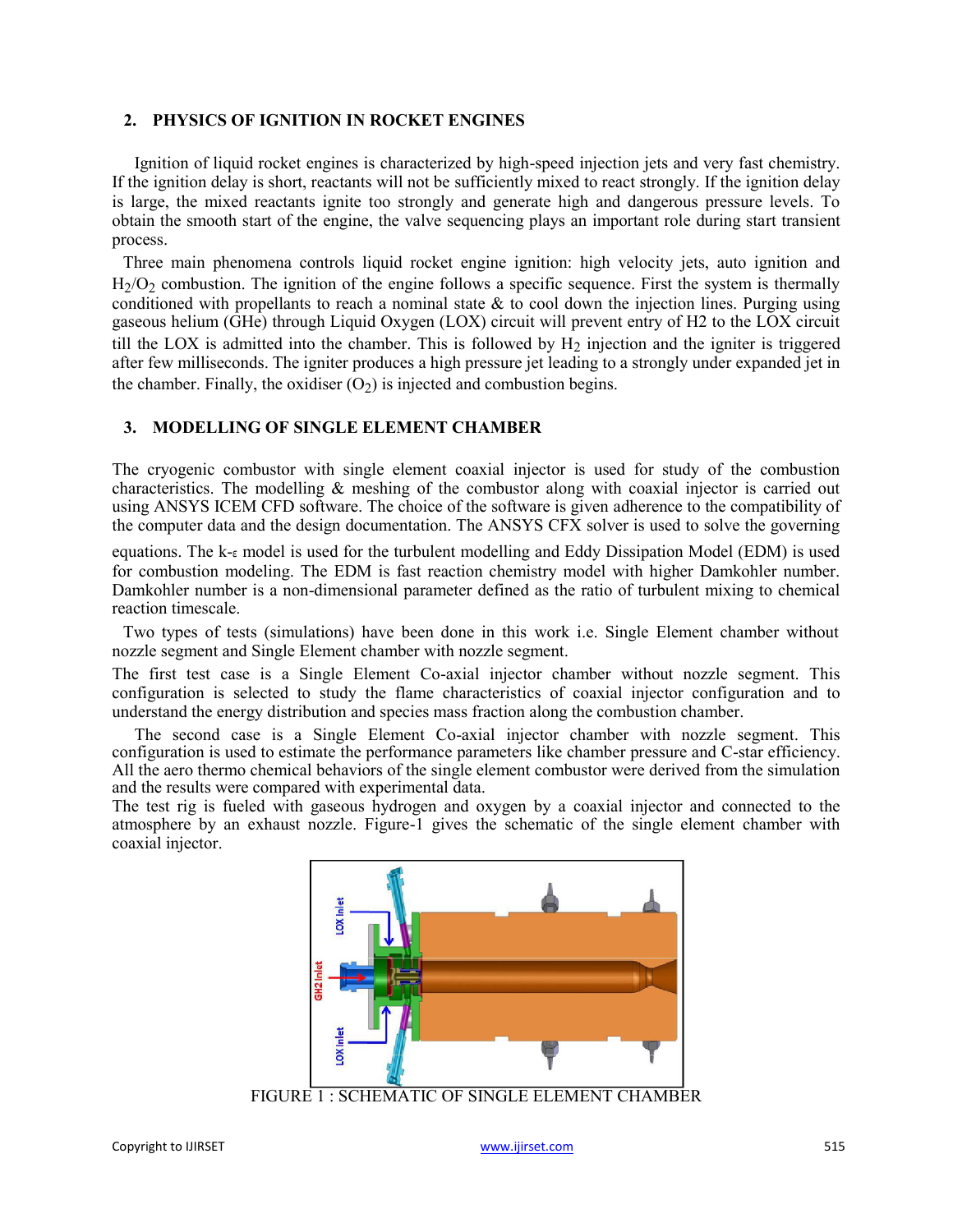# **2. PHYSICS OF IGNITION IN ROCKET ENGINES**

Ignition of liquid rocket engines is characterized by high-speed injection jets and very fast chemistry. If the ignition delay is short, reactants will not be sufficiently mixed to react strongly. If the ignition delay is large, the mixed reactants ignite too strongly and generate high and dangerous pressure levels. To obtain the smooth start of the engine, the valve sequencing plays an important role during start transient process.

Three main phenomena controls liquid rocket engine ignition: high velocity jets, auto ignition and H<sub>2</sub>/O<sub>2</sub> combustion. The ignition of the engine follows a specific sequence. First the system is thermally conditioned with propellants to reach a nominal state  $\&$  to cool down the injection lines. Purging using gaseous helium (GHe) through Liquid Oxygen (LOX) circuit will prevent entry of H2 to the LOX circuit till the LOX is admitted into the chamber. This is followed by  $H_2$  injection and the igniter is triggered after few milliseconds. The igniter produces a high pressure jet leading to a strongly under expanded jet in the chamber. Finally, the oxidiser  $(O<sub>2</sub>)$  is injected and combustion begins.

# **3. MODELLING OF SINGLE ELEMENT CHAMBER**

The cryogenic combustor with single element coaxial injector is used for study of the combustion characteristics. The modelling & meshing of the combustor along with coaxial injector is carried out using ANSYS ICEM CFD software. The choice of the software is given adherence to the compatibility of the computer data and the design documentation. The ANSYS CFX solver is used to solve the governing

equations. The k-ε model is used for the turbulent modelling and Eddy Dissipation Model (EDM) is used for combustion modeling. The EDM is fast reaction chemistry model with higher Damkohler number. Damkohler number is a non-dimensional parameter defined as the ratio of turbulent mixing to chemical reaction timescale.

Two types of tests (simulations) have been done in this work i.e. Single Element chamber without nozzle segment and Single Element chamber with nozzle segment.

The first test case is a Single Element Co-axial injector chamber without nozzle segment. This configuration is selected to study the flame characteristics of coaxial injector configuration and to understand the energy distribution and species mass fraction along the combustion chamber.

The second case is a Single Element Co-axial injector chamber with nozzle segment. This configuration is used to estimate the performance parameters like chamber pressure and C-star efficiency. All the aero thermo chemical behaviors of the single element combustor were derived from the simulation and the results were compared with experimental data.

The test rig is fueled with gaseous hydrogen and oxygen by a coaxial injector and connected to the atmosphere by an exhaust nozzle. Figure-1 gives the schematic of the single element chamber with coaxial injector.

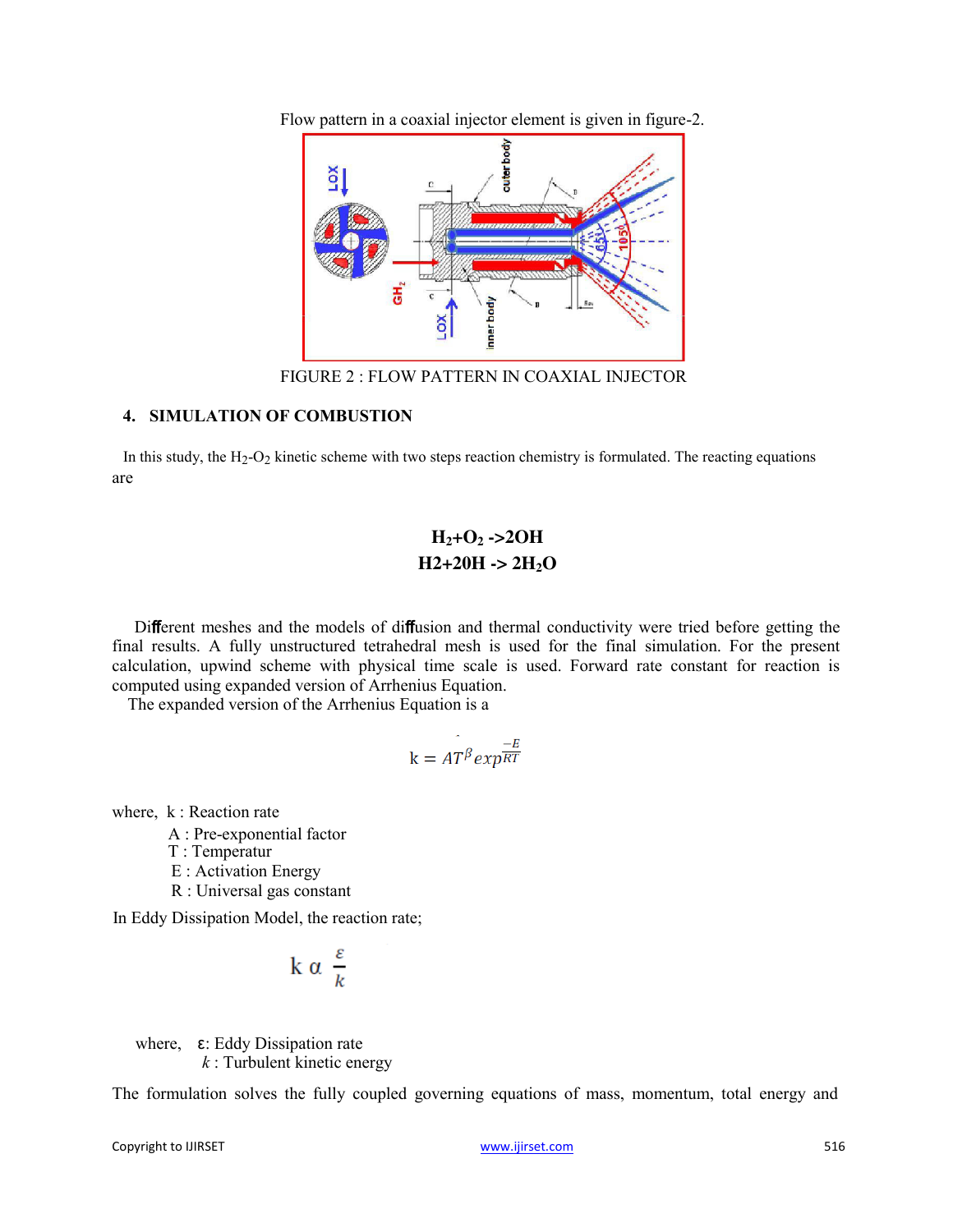Flow pattern in a coaxial injector element is given in figure-2.



FIGURE 2 : FLOW PATTERN IN COAXIAL INJECTOR

# **4. SIMULATION OF COMBUSTION**

In this study, the H<sub>2</sub>-O<sub>2</sub> kinetic scheme with two steps reaction chemistry is formulated. The reacting equations are

# **H2+O2 ->2OH**   $H2+20H \rightarrow 2H_2O$

Different meshes and the models of diffusion and thermal conductivity were tried before getting the final results. A fully unstructured tetrahedral mesh is used for the final simulation. For the present calculation, upwind scheme with physical time scale is used. Forward rate constant for reaction is computed using expanded version of Arrhenius Equation.

The expanded version of the Arrhenius Equation is a

$$
k = A T^{\beta} exp^{\frac{-E}{RT}}
$$

where, k : Reaction rate

A : Pre-exponential factor

T : Temperatur

- E : Activation Energy
- R : Universal gas constant

In Eddy Dissipation Model, the reaction rate;

$$
k \alpha \frac{\varepsilon}{k}
$$

where, ε: Eddy Dissipation rate *k* : Turbulent kinetic energy

The formulation solves the fully coupled governing equations of mass, momentum, total energy and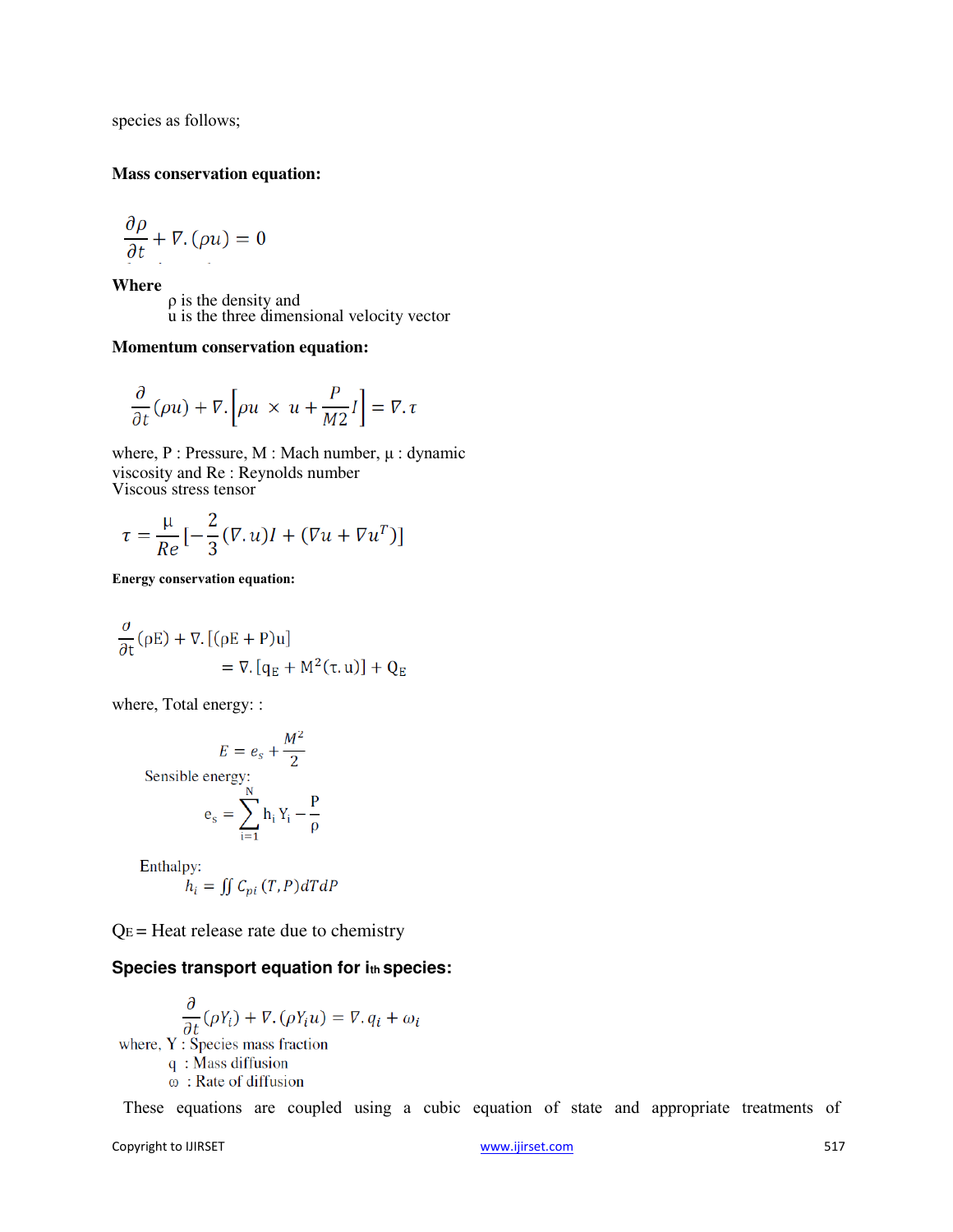species as follows;

#### **Mass conservation equation:**

$$
\frac{\partial \rho}{\partial t} + \nabla \cdot (\rho u) = 0
$$

**Where** 

ρ is the density and u is the three dimensional velocity vector

## **Momentum conservation equation:**

$$
\frac{\partial}{\partial t}(\rho u) + \nabla \cdot \left[\rho u \times u + \frac{P}{M2}I\right] = \nabla \cdot \tau
$$

where, P : Pressure, M : Mach number, μ : dynamic viscosity and Re : Reynolds number Viscous stress tensor

$$
\tau = \frac{\mu}{Re} \left[ -\frac{2}{3} (\nabla \cdot u) I + (\nabla u + \nabla u^T) \right]
$$

**Energy conservation equation:** 

$$
\frac{\partial}{\partial t}(\rho E) + \nabla \cdot [(\rho E + P)u] \n= \nabla \cdot [q_E + M^2(\tau, u)] + Q_E
$$

where, Total energy: :

$$
E = e_s + \frac{M^2}{2}
$$
  
Sensible energy:  

$$
e_s = \sum_{i=1}^{N} h_i Y_i - \frac{P}{\rho}
$$

Enthalpy:

$$
h_i = \iint C_{pi}(T, P) dT dP
$$

 $Q_E$  = Heat release rate due to chemistry

# **Species transport equation for ith species:**

$$
\frac{\partial}{\partial t}(\rho Y_i) + \nabla \cdot (\rho Y_i u) = \nabla \cdot q_i + \omega_i
$$
\nwhere, Y: Species mass fraction  
\nq : Mass diffusion  
\n $\omega$ : Rate of diffusion

These equations are coupled using a cubic equation of state and appropriate treatments of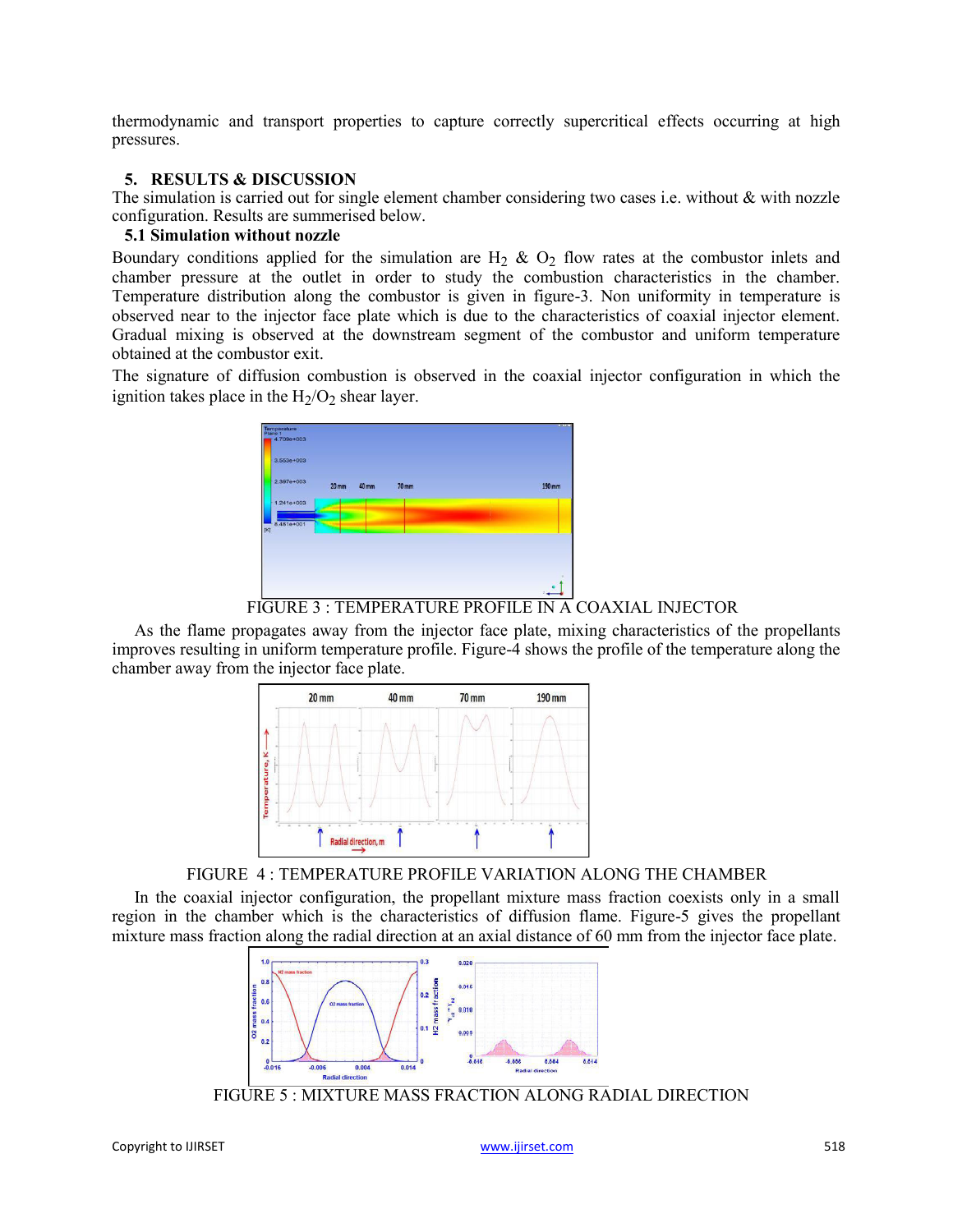thermodynamic and transport properties to capture correctly supercritical effects occurring at high pressures.

# **5. RESULTS & DISCUSSION**

The simulation is carried out for single element chamber considering two cases i.e. without & with nozzle configuration. Results are summerised below.

# **5.1 Simulation without nozzle**

Boundary conditions applied for the simulation are  $H_2$  &  $O_2$  flow rates at the combustor inlets and chamber pressure at the outlet in order to study the combustion characteristics in the chamber. Temperature distribution along the combustor is given in figure-3. Non uniformity in temperature is observed near to the injector face plate which is due to the characteristics of coaxial injector element. Gradual mixing is observed at the downstream segment of the combustor and uniform temperature obtained at the combustor exit.

The signature of diffusion combustion is observed in the coaxial injector configuration in which the ignition takes place in the  $H_2/O_2$  shear layer.



FIGURE 3 : TEMPERATURE PROFILE IN A COAXIAL INJECTOR

As the flame propagates away from the injector face plate, mixing characteristics of the propellants improves resulting in uniform temperature profile. Figure-4 shows the profile of the temperature along the chamber away from the injector face plate.



FIGURE 4 : TEMPERATURE PROFILE VARIATION ALONG THE CHAMBER

In the coaxial injector configuration, the propellant mixture mass fraction coexists only in a small region in the chamber which is the characteristics of diffusion flame. Figure-5 gives the propellant mixture mass fraction along the radial direction at an axial distance of 60 mm from the injector face plate.



FIGURE 5 : MIXTURE MASS FRACTION ALONG RADIAL DIRECTION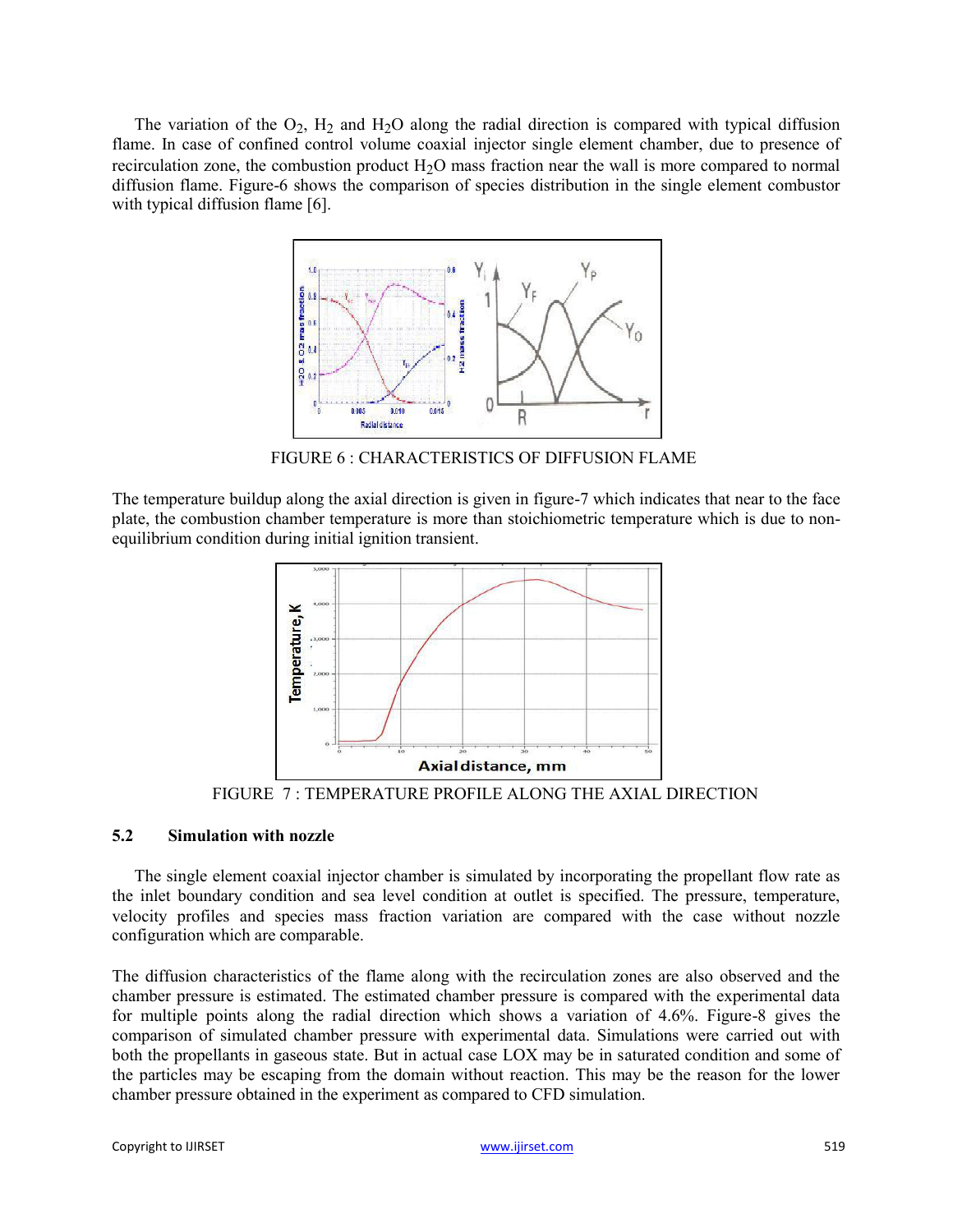The variation of the  $O_2$ ,  $H_2$  and  $H_2O$  along the radial direction is compared with typical diffusion flame. In case of confined control volume coaxial injector single element chamber, due to presence of recirculation zone, the combustion product  $H_2O$  mass fraction near the wall is more compared to normal diffusion flame. Figure-6 shows the comparison of species distribution in the single element combustor with typical diffusion flame [6].



FIGURE 6 : CHARACTERISTICS OF DIFFUSION FLAME

The temperature buildup along the axial direction is given in figure-7 which indicates that near to the face plate, the combustion chamber temperature is more than stoichiometric temperature which is due to nonequilibrium condition during initial ignition transient.



FIGURE 7 : TEMPERATURE PROFILE ALONG THE AXIAL DIRECTION

# **5.2 Simulation with nozzle**

The single element coaxial injector chamber is simulated by incorporating the propellant flow rate as the inlet boundary condition and sea level condition at outlet is specified. The pressure, temperature, velocity profiles and species mass fraction variation are compared with the case without nozzle configuration which are comparable.

The diffusion characteristics of the flame along with the recirculation zones are also observed and the chamber pressure is estimated. The estimated chamber pressure is compared with the experimental data for multiple points along the radial direction which shows a variation of 4.6%. Figure-8 gives the comparison of simulated chamber pressure with experimental data. Simulations were carried out with both the propellants in gaseous state. But in actual case LOX may be in saturated condition and some of the particles may be escaping from the domain without reaction. This may be the reason for the lower chamber pressure obtained in the experiment as compared to CFD simulation.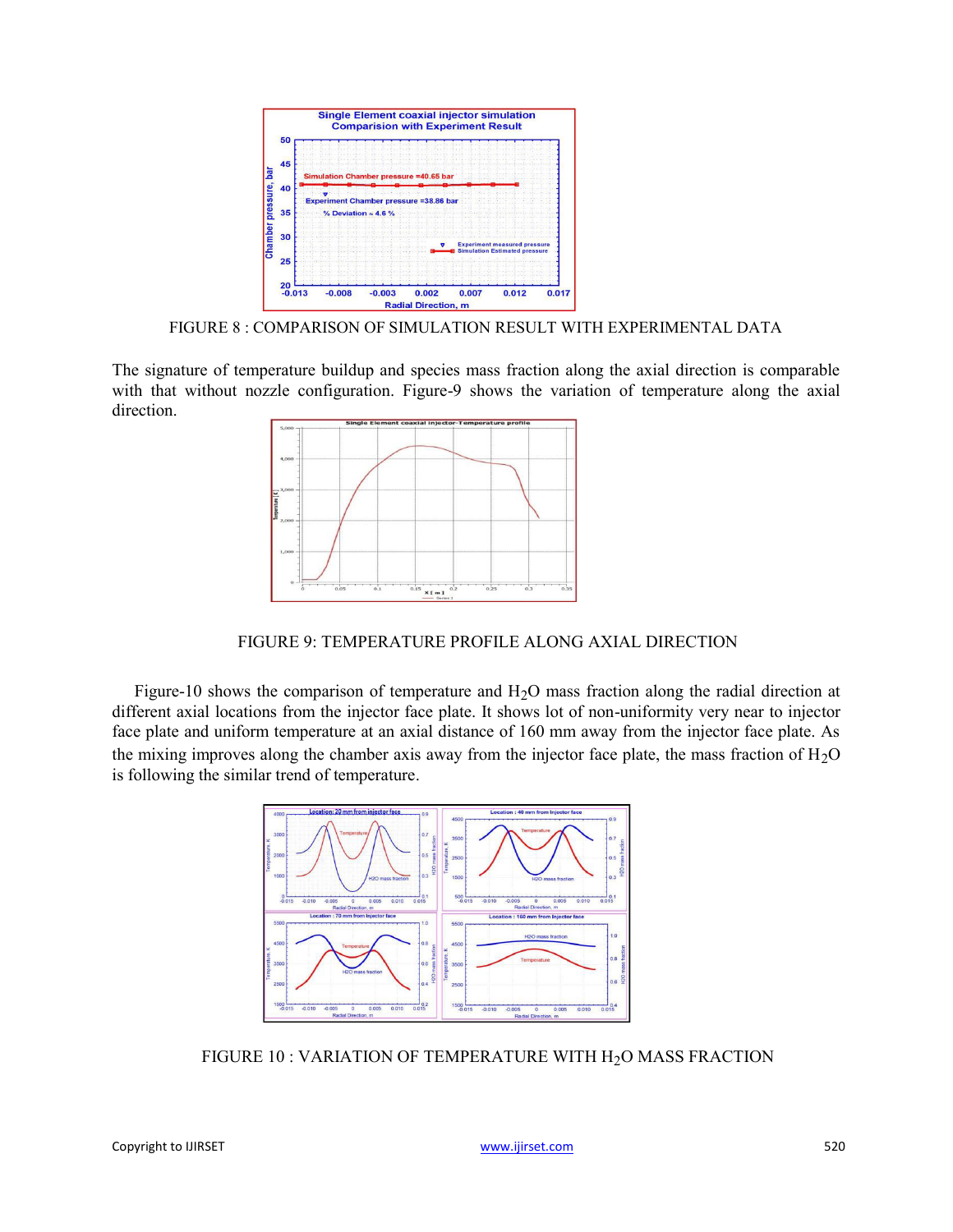

FIGURE 8 : COMPARISON OF SIMULATION RESULT WITH EXPERIMENTAL DATA

The signature of temperature buildup and species mass fraction along the axial direction is comparable with that without nozzle configuration. Figure-9 shows the variation of temperature along the axial direction.



FIGURE 9: TEMPERATURE PROFILE ALONG AXIAL DIRECTION

Figure-10 shows the comparison of temperature and  $H_2O$  mass fraction along the radial direction at different axial locations from the injector face plate. It shows lot of non-uniformity very near to injector face plate and uniform temperature at an axial distance of 160 mm away from the injector face plate. As the mixing improves along the chamber axis away from the injector face plate, the mass fraction of  $H_2O$ is following the similar trend of temperature.



FIGURE 10 : VARIATION OF TEMPERATURE WITH H<sub>2</sub>O MASS FRACTION